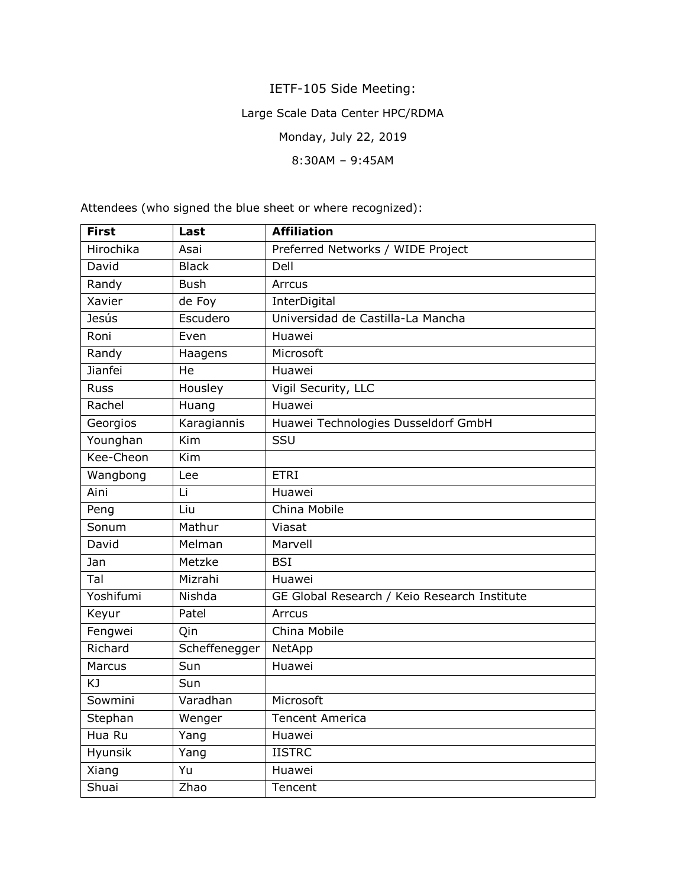## IETF-105 Side Meeting:

## Large Scale Data Center HPC/RDMA

Monday, July 22, 2019

8:30AM – 9:45AM

**First Last Affiliation** Hirochika Asai Preferred Networks / WIDE Project David Black Dell Randy Bush Arrcus Xavier | de Foy | InterDigital Jesús Escudero Universidad de Castilla-La Mancha Roni | Even | Huawei Randy | Haagens | Microsoft Jianfei He Huawei Russ | Housley | Vigil Security, LLC Rachel | Huang | Huawei Georgios | Karagiannis | Huawei Technologies Dusseldorf GmbH Younghan | Kim | SSU Kee-Cheon Kim Wangbong Lee FTRI Aini Li Huawei Peng | Liu | China Mobile Sonum Mathur Viasat David Melman Marvell Jan Metzke BSI Tal Mizrahi Huawei Yoshifumi | Nishda | GE Global Research / Keio Research Institute Keyur | Patel | Arrcus Fengwei | Qin | China Mobile Richard | Scheffenegger | NetApp Marcus Sun Huawei KJ Sun Sowmini Varadhan Microsoft Stephan | Wenger | Tencent America Hua Ru Yang Huawei Hyunsik | Yang | IISTRC Xiang Yu Huawei Shuai / Zhao / Tencent

Attendees (who signed the blue sheet or where recognized):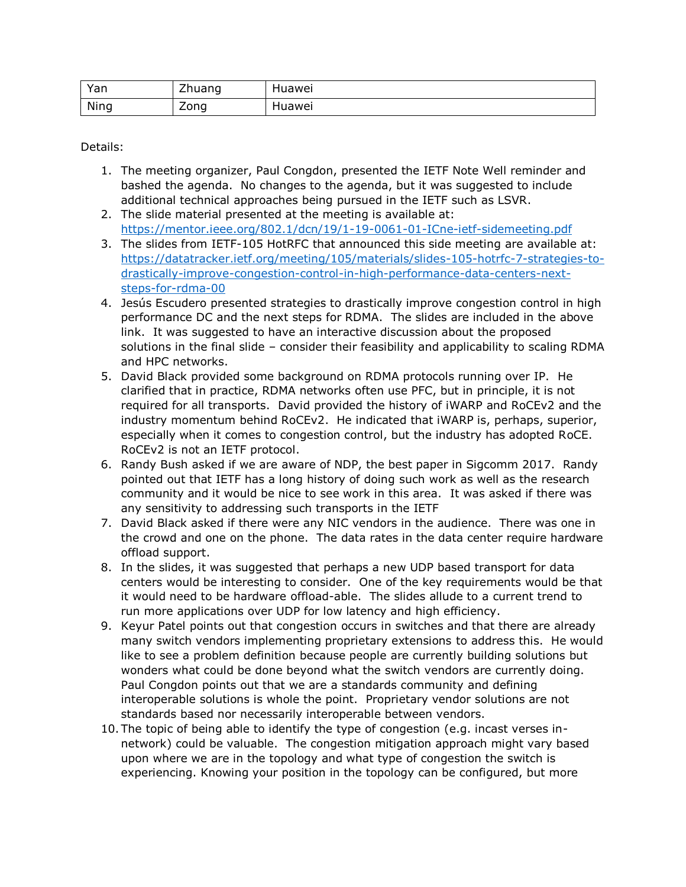| Yan  | $\overline{\phantom{a}}$<br>$- - -$<br>. .udi iu<br>- | Huawei |
|------|-------------------------------------------------------|--------|
| Ning | -<br>$n_{\Omega}$<br>∠∪…∪<br>-                        | luawei |

Details:

- 1. The meeting organizer, Paul Congdon, presented the IETF Note Well reminder and bashed the agenda. No changes to the agenda, but it was suggested to include additional technical approaches being pursued in the IETF such as LSVR.
- 2. The slide material presented at the meeting is available at: <https://mentor.ieee.org/802.1/dcn/19/1-19-0061-01-ICne-ietf-sidemeeting.pdf>
- 3. The slides from IETF-105 HotRFC that announced this side meeting are available at: [https://datatracker.ietf.org/meeting/105/materials/slides-105-hotrfc-7-strategies-to](https://datatracker.ietf.org/meeting/105/materials/slides-105-hotrfc-7-strategies-to-drastically-improve-congestion-control-in-high-performance-data-centers-next-steps-for-rdma-00)[drastically-improve-congestion-control-in-high-performance-data-centers-next](https://datatracker.ietf.org/meeting/105/materials/slides-105-hotrfc-7-strategies-to-drastically-improve-congestion-control-in-high-performance-data-centers-next-steps-for-rdma-00)[steps-for-rdma-00](https://datatracker.ietf.org/meeting/105/materials/slides-105-hotrfc-7-strategies-to-drastically-improve-congestion-control-in-high-performance-data-centers-next-steps-for-rdma-00)
- 4. Jesús Escudero presented strategies to drastically improve congestion control in high performance DC and the next steps for RDMA. The slides are included in the above link. It was suggested to have an interactive discussion about the proposed solutions in the final slide – consider their feasibility and applicability to scaling RDMA and HPC networks.
- 5. David Black provided some background on RDMA protocols running over IP. He clarified that in practice, RDMA networks often use PFC, but in principle, it is not required for all transports. David provided the history of iWARP and RoCEv2 and the industry momentum behind RoCEv2. He indicated that iWARP is, perhaps, superior, especially when it comes to congestion control, but the industry has adopted RoCE. RoCEv2 is not an IETF protocol.
- 6. Randy Bush asked if we are aware of NDP, the best paper in Sigcomm 2017. Randy pointed out that IETF has a long history of doing such work as well as the research community and it would be nice to see work in this area. It was asked if there was any sensitivity to addressing such transports in the IETF
- 7. David Black asked if there were any NIC vendors in the audience. There was one in the crowd and one on the phone. The data rates in the data center require hardware offload support.
- 8. In the slides, it was suggested that perhaps a new UDP based transport for data centers would be interesting to consider. One of the key requirements would be that it would need to be hardware offload-able. The slides allude to a current trend to run more applications over UDP for low latency and high efficiency.
- 9. Keyur Patel points out that congestion occurs in switches and that there are already many switch vendors implementing proprietary extensions to address this. He would like to see a problem definition because people are currently building solutions but wonders what could be done beyond what the switch vendors are currently doing. Paul Congdon points out that we are a standards community and defining interoperable solutions is whole the point. Proprietary vendor solutions are not standards based nor necessarily interoperable between vendors.
- 10. The topic of being able to identify the type of congestion (e.g. incast verses innetwork) could be valuable. The congestion mitigation approach might vary based upon where we are in the topology and what type of congestion the switch is experiencing. Knowing your position in the topology can be configured, but more